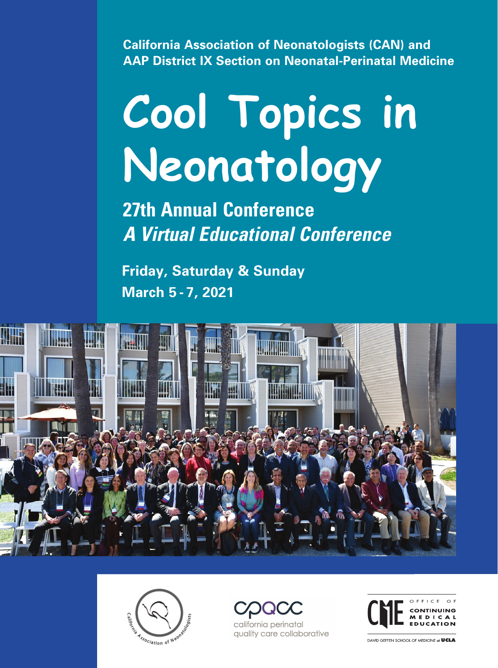**California Association of Neonatologists (CAN) and AAP District IX Section on Neonatal-Perinatal Medicine**

# **Cool Topics in Neonatology**

**27th Annual Conference** *A Virtual Educational Conference*

**Friday, Saturday & Sunday March 5 - 7, 2021** 









DAVID GEFFEN SCHOOL OF MEDICINE at UCLA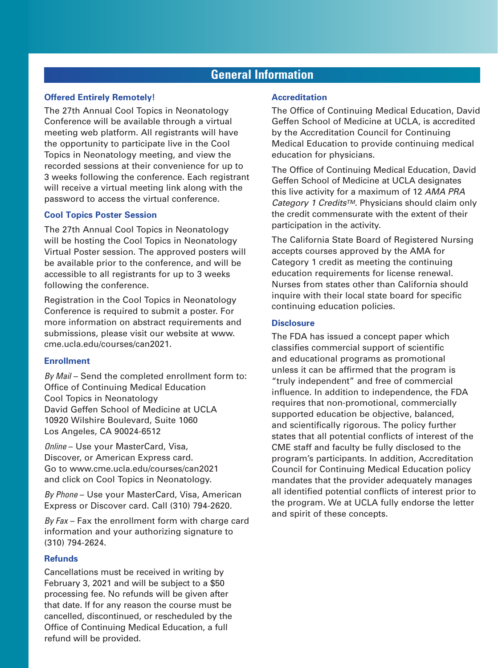# **General Information**

#### **Offered Entirely Remotely!**

The 27th Annual Cool Topics in Neonatology Conference will be available through a virtual meeting web platform. All registrants will have the opportunity to participate live in the Cool Topics in Neonatology meeting, and view the recorded sessions at their convenience for up to 3 weeks following the conference. Each registrant will receive a virtual meeting link along with the password to access the virtual conference.

#### **Cool Topics Poster Session**

The 27th Annual Cool Topics in Neonatology will be hosting the Cool Topics in Neonatology Virtual Poster session. The approved posters will be available prior to the conference, and will be accessible to all registrants for up to 3 weeks following the conference.

Registration in the Cool Topics in Neonatology Conference is required to submit a poster. For more information on abstract requirements and submissions, please visit our website at www. cme.ucla.edu/courses/can2021.

#### **Enrollment**

*By Mail* – Send the completed enrollment form to: Office of Continuing Medical Education Cool Topics in Neonatology David Geffen School of Medicine at UCLA 10920 Wilshire Boulevard, Suite 1060 Los Angeles, CA 90024-6512

*Online* – Use your MasterCard, Visa, Discover, or American Express card. Go to www.cme.ucla.edu/courses/can2021 and click on Cool Topics in Neonatology.

*By Phone* – Use your MasterCard, Visa, American Express or Discover card. Call (310) 794-2620.

*By Fax* – Fax the enrollment form with charge card information and your authorizing signature to (310) 794-2624.

#### **Refunds**

Cancellations must be received in writing by February 3, 2021 and will be subject to a \$50 processing fee. No refunds will be given after that date. If for any reason the course must be cancelled, discontinued, or rescheduled by the Office of Continuing Medical Education, a full refund will be provided.

#### **Accreditation**

The Office of Continuing Medical Education, David Geffen School of Medicine at UCLA, is accredited by the Accreditation Council for Continuing Medical Education to provide continuing medical education for physicians.

The Office of Continuing Medical Education, David Geffen School of Medicine at UCLA designates this live activity for a maximum of 12 *AMA PRA Category 1 CreditsTM*. Physicians should claim only the credit commensurate with the extent of their participation in the activity.

The California State Board of Registered Nursing accepts courses approved by the AMA for Category 1 credit as meeting the continuing education requirements for license renewal. Nurses from states other than California should inquire with their local state board for specific continuing education policies.

#### **Disclosure**

The FDA has issued a concept paper which classifies commercial support of scientific and educational programs as promotional unless it can be affirmed that the program is "truly independent" and free of commercial influence. In addition to independence, the FDA requires that non-promotional, commercially supported education be objective, balanced, and scientifically rigorous. The policy further states that all potential conflicts of interest of the CME staff and faculty be fully disclosed to the program's participants. In addition, Accreditation Council for Continuing Medical Education policy mandates that the provider adequately manages all identified potential conflicts of interest prior to the program. We at UCLA fully endorse the letter and spirit of these concepts.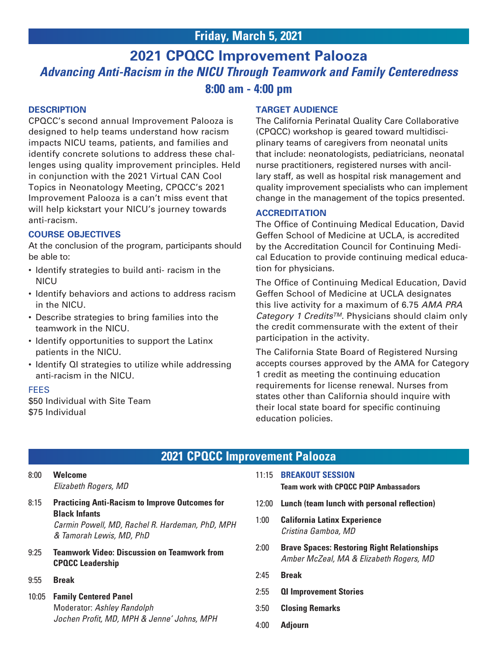# **2021 CPQCC Improvement Palooza** *Advancing Anti-Racism in the NICU Through Teamwork and Family Centeredness* **8:00 am - 4:00 pm**

#### **DESCRIPTION**

CPQCC's second annual Improvement Palooza is designed to help teams understand how racism impacts NICU teams, patients, and families and identify concrete solutions to address these challenges using quality improvement principles. Held in conjunction with the 2021 Virtual CAN Cool Topics in Neonatology Meeting, CPQCC's 2021 Improvement Palooza is a can't miss event that will help kickstart your NICU's journey towards anti-racism.

#### **COURSE OBJECTIVES**

At the conclusion of the program, participants should be able to:

- Identify strategies to build anti- racism in the **NICU**
- Identify behaviors and actions to address racism in the NICU.
- Describe strategies to bring families into the teamwork in the NICU.
- Identify opportunities to support the Latinx patients in the NICU.
- Identify QI strategies to utilize while addressing anti-racism in the NICU.

#### FEES

\$50 Individual with Site Team \$75 Individual

#### **TARGET AUDIENCE**

The California Perinatal Quality Care Collaborative (CPQCC) workshop is geared toward multidisciplinary teams of caregivers from neonatal units that include: neonatologists, pediatricians, neonatal nurse practitioners, registered nurses with ancillary staff, as well as hospital risk management and quality improvement specialists who can implement change in the management of the topics presented.

#### **ACCREDITATION**

The Office of Continuing Medical Education, David Geffen School of Medicine at UCLA, is accredited by the Accreditation Council for Continuing Medical Education to provide continuing medical education for physicians.

The Office of Continuing Medical Education, David Geffen School of Medicine at UCLA designates this live activity for a maximum of 6.75 *AMA PRA Category 1 CreditsTM*. Physicians should claim only the credit commensurate with the extent of their participation in the activity.

The California State Board of Registered Nursing accepts courses approved by the AMA for Category 1 credit as meeting the continuing education requirements for license renewal. Nurses from states other than California should inquire with their local state board for specific continuing education policies.

# **2021 CPQCC Improvement Palooza**

8:00 **Welcome** *Elizabeth Rogers, MD* 

- 8:15 **Practicing Anti-Racism to Improve Outcomes for Black Infants** *Carmin Powell, MD, Rachel R. Hardeman, PhD, MPH & Tamorah Lewis, MD, PhD*
- 9:25 **Teamwork Video: Discussion on Teamwork from CPQCC Leadership**
- 9:55 **Break**
- 10:05 **Family Centered Panel** Moderator: *Ashley Randolph Jochen Profit, MD, MPH & Jenne' Johns, MPH*

11:15 **BREAKOUT SESSION**

**Team work with CPQCC PQIP Ambassadors**

- 12:00 **Lunch (team lunch with personal reflection)**
- 1:00 **California Latinx Experience** *Cristina Gamboa, MD*
- 2:00 **Brave Spaces: Restoring Right Relationships** *Amber McZeal, MA & Elizabeth Rogers, MD*
- 2:45 **Break**
- 2:55 **QI Improvement Stories**
- 3:50 **Closing Remarks**
- 4:00 **Adjourn**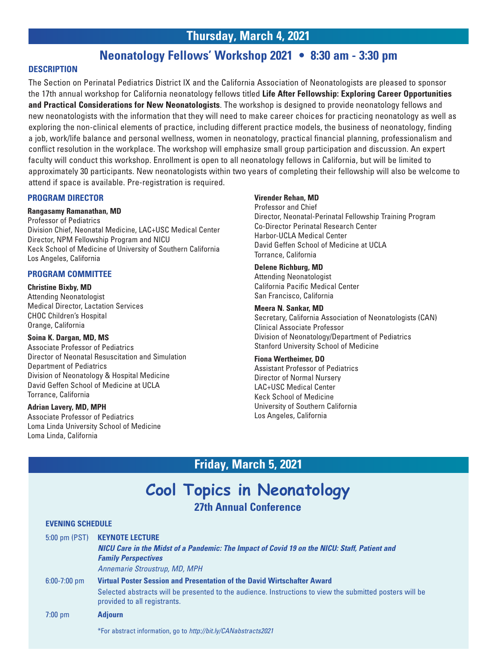## **Thursday, March 4, 2021**

## **Neonatology Fellows' Workshop 2021 • 8:30 am - 3:30 pm**

#### **DESCRIPTION**

The Section on Perinatal Pediatrics District IX and the California Association of Neonatologists are pleased to sponsor the 17th annual workshop for California neonatology fellows titled **Life After Fellowship: Exploring Career Opportunities and Practical Considerations for New Neonatologists**. The workshop is designed to provide neonatology fellows and new neonatologists with the information that they will need to make career choices for practicing neonatology as well as exploring the non-clinical elements of practice, including different practice models, the business of neonatology, finding a job, work/life balance and personal wellness, women in neonatology, practical financial planning, professionalism and conflict resolution in the workplace. The workshop will emphasize small group participation and discussion. An expert faculty will conduct this workshop. Enrollment is open to all neonatology fellows in California, but will be limited to approximately 30 participants. New neonatologists within two years of completing their fellowship will also be welcome to attend if space is available. Pre-registration is required.

#### **PROGRAM DIRECTOR**

#### **Rangasamy Ramanathan, MD**

Professor of Pediatrics Division Chief, Neonatal Medicine, LAC+USC Medical Center Director, NPM Fellowship Program and NICU Keck School of Medicine of University of Southern California Los Angeles, California

#### **PROGRAM COMMITTEE**

#### **Christine Bixby, MD**

Attending Neonatologist Medical Director, Lactation Services CHOC Children's Hospital Orange, California

#### **Soina K. Dargan, MD, MS**

Associate Professor of Pediatrics Director of Neonatal Resuscitation and Simulation Department of Pediatrics Division of Neonatology & Hospital Medicine David Geffen School of Medicine at UCLA Torrance, California

#### **Adrian Lavery, MD, MPH**

I

Associate Professor of Pediatrics Loma Linda University School of Medicine Loma Linda, California

#### **Virender Rehan, MD**

Professor and Chief Director, Neonatal-Perinatal Fellowship Training Program Co-Director Perinatal Research Center Harbor-UCLA Medical Center David Geffen School of Medicine at UCLA Torrance, California

#### **Delene Richburg, MD**

Attending Neonatologist California Pacific Medical Center San Francisco, California

#### **Meera N. Sankar, MD**

Secretary, California Association of Neonatologists (CAN) Clinical Associate Professor Division of Neonatology/Department of Pediatrics Stanford University School of Medicine

#### **Fiona Wertheimer, DO**

Assistant Professor of Pediatrics Director of Normal Nursery LAC+USC Medical Center Keck School of Medicine University of Southern California Los Angeles, California

## **Friday, March 5, 2021**

# **Cool Topics in Neonatology**

**27th Annual Conference**

#### **EVENING SCHEDULE**

| 5:00 pm (PST)     | <b>KEYNOTE LECTURE</b>                                                                                                                   |
|-------------------|------------------------------------------------------------------------------------------------------------------------------------------|
|                   | NICU Care in the Midst of a Pandemic: The Impact of Covid 19 on the NICU: Staff, Patient and<br><b>Family Perspectives</b>               |
|                   | Annemarie Stroustrup, MD, MPH                                                                                                            |
| $6:00 - 7:00$ pm  | Virtual Poster Session and Presentation of the David Wirtschafter Award                                                                  |
|                   | Selected abstracts will be presented to the audience. Instructions to view the submitted posters will be<br>provided to all registrants. |
| $7:00 \text{ pm}$ | <b>Adjourn</b>                                                                                                                           |
|                   | *For abstract information, go to http://bit.ly/CANabstracts2021                                                                          |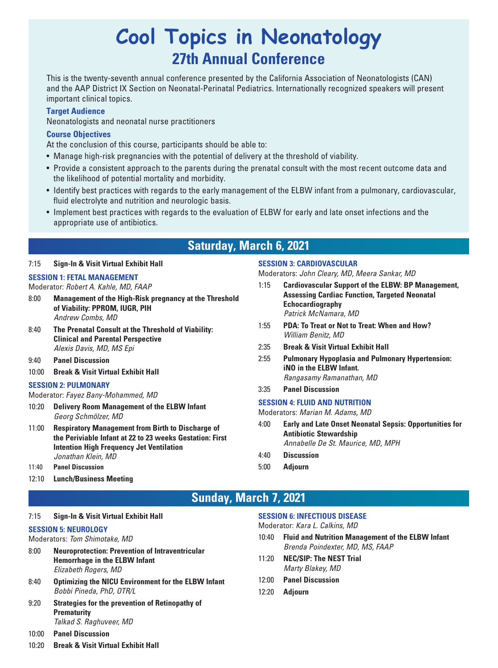# **Cool Topics in Neonatology 27th Annual Conference**

This is the twenty-seventh annual conference presented by the California Association of Neonatologists (CAN) and the AAP District IX Section on Neonatal-Perinatal Pediatrics. Internationally recognized speakers will present important clinical topics.

#### **Target Audience**

Neonatologists and neonatal nurse practitioners

#### **Course Objectives**

At the conclusion of this course, participants should be able to:

- Manage high-risk pregnancies with the potential of delivery at the threshold of viability.
- Provide a consistent approach to the parents during the prenatal consult with the most recent outcome data and the likelihood of potential mortality and morbidity.
- Identify best practices with regards to the early management of the ELBW infant from a pulmonary, cardiovascular, fluid electrolyte and nutrition and neurologic basis.
- Implement best practices with regards to the evaluation of ELBW for early and late onset infections and the appropriate use of antibiotics.

# **Saturday, March 6, 2021**

#### 7:15 **Sign-In & Visit Virtual Exhibit Hall**

#### **SESSION 1: FETAL MANAGEMENT**

- Moderator: *Robert A. Kahle, MD, FAAP*
- 8:00 **Management of the High-Risk pregnancy at the Threshold of Viability: PPROM, IUGR, PIH**  *Andrew Combs, MD*
- 8:40 **The Prenatal Consult at the Threshold of Viability: Clinical and Parental Perspective**  *Alexis Davis, MD, MS Epi*
- 9:40 **Panel Discussion**
- 10:00 **Break & Visit Virtual Exhibit Hall**

#### **SESSION 2: PULMONARY**

#### Moderator: *Fayez Bany-Mohammed, MD*

- 10:20 **Delivery Room Management of the ELBW Infant**  *Georg Schmölzer, MD*
- 11:00 **Respiratory Management from Birth to Discharge of the Periviable Infant at 22 to 23 weeks Gestation: First Intention High Frequency Jet Ventilation** *Jonathan Klein, MD*
- 11:40 **Panel Discussion**
- 12:10 **Lunch/Business Meeting**

#### **SESSION 3: CARDIOVASCULAR**

Moderators: *John Cleary, MD, Meera Sankar, MD*

- 1:15 **Cardiovascular Support of the ELBW: BP Management, Assessing Cardiac Function, Targeted Neonatal Echocardiography** *Patrick McNamara, MD*
- 1:55 **PDA: To Treat or Not to Treat: When and How?**  *William Benitz, MD*
- 2:35 **Break & Visit Virtual Exhibit Hall**
- 2:55 **Pulmonary Hypoplasia and Pulmonary Hypertension: iNO in the ELBW Infant.**  *Rangasamy Ramanathan, MD*
- 3:35 **Panel Discussion**

#### **SESSION 4: FLUID AND NUTRITION**

#### Moderators: *Marian M. Adams, MD*

- 4:00 **Early and Late Onset Neonatal Sepsis: Opportunities for Antibiotic Stewardship** *Annabelle De St. Maurice, MD, MPH*
- 4:40 **Discussion**
- 5:00 **Adjourn**

# **Sunday, March 7, 2021**

#### 7:15 **Sign-In & Visit Virtual Exhibit Hall**

#### **SESSION 5: NEUROLOGY**

- Moderators: *Tom Shimotake, MD*
- 8:00 **Neuroprotection: Prevention of Intraventricular Hemorrhage in the ELBW Infant**  *Elizabeth Rogers, MD*
- 8:40 **Optimizing the NICU Environment for the ELBW Infant**  *Bobbi Pineda, PhD, OTR/L*
- 9:20 **Strategies for the prevention of Retinopathy of Prematurity** *Talkad S. Raghuveer, MD*

#### 10:00 **Panel Discussion**

10:20 **Break & Visit Virtual Exhibit Hall**

#### **SESSION 6: INFECTIOUS DISEASE**

Moderator: *Kara L. Calkins, MD* 

- 10:40 **Fluid and Nutrition Management of the ELBW Infant** *Brenda Poindexter, MD, MS, FAAP*
- 11:20 **NEC/SIP: The NEST Trial**  *Marty Blakey, MD*
- 12:00 **Panel Discussion**
- 12:20 **Adjourn**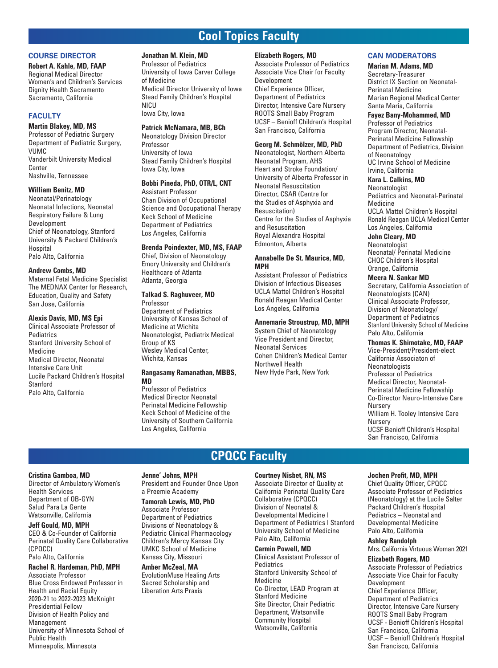# **Cool Topics Faculty**

#### **COURSE DIRECTOR**

**Robert A. Kahle, MD, FAAP** Regional Medical Director Women's and Children's Services Dignity Health Sacramento Sacramento, California

#### **FACULTY**

#### **Martin Blakey, MD, MS**

Professor of Pediatric Surgery Department of Pediatric Surgery, VUMC Vanderbilt University Medical Center Nashville, Tennessee

#### **William Benitz, MD**

Neonatal/Perinatology Neonatal Infections, Neonatal Respiratory Failure & Lung Development Chief of Neonatology, Stanford University & Packard Children's **Hospital** Palo Alto, California

#### **Andrew Combs, MD**

Maternal Fetal Medicine Specialist The MEDNAX Center for Research, Education, Quality and Safety San Jose, California

#### **Alexis Davis, MD, MS Epi**

Clinical Associate Professor of Pediatrics Stanford University School of Medicine Medical Director, Neonatal Intensive Care Unit Lucile Packard Children's Hospital **Stanford** Palo Alto, California

#### **Jonathan M. Klein, MD**

Professor of Pediatrics University of Iowa Carver College of Medicine Medical Director University of Iowa Stead Family Children's Hospital **NICU** Iowa City, Iowa

#### **Patrick McNamara, MB, BCh**

Neonatology Division Director Professor University of Iowa Stead Family Children's Hospital Iowa City, Iowa

#### **Bobbi Pineda, PhD, OTR/L, CNT**

Assistant Professor Chan Division of Occupational Science and Occupational Therapy Keck School of Medicine Department of Pediatrics Los Angeles, California

#### **Brenda Poindexter, MD, MS, FAAP**

Chief, Division of Neonatology Emory University and Children's Healthcare of Atlanta Atlanta, Georgia

#### **Talkad S. Raghuveer, MD**

Professor Department of Pediatrics University of Kansas School of Medicine at Wichita Neonatologist, Pediatrix Medical Group of KS Wesley Medical Center, Wichita, Kansas

#### **Rangasamy Ramanathan, MBBS, MD**

Professor of Pediatrics Medical Director Neonatal Perinatal Medicine Fellowship Keck School of Medicine of the University of Southern California Los Angeles, California

#### **Elizabeth Rogers, MD**

Associate Professor of Pediatrics Associate Vice Chair for Faculty Development Chief Experience Officer, Department of Pediatrics Director, Intensive Care Nursery ROOTS Small Baby Program UCSF – Benioff Children's Hospital San Francisco, California

#### **Georg M. Schmölzer, MD, PhD**

Neonatologist, Northern Alberta Neonatal Program, AHS Heart and Stroke Foundation/ University of Alberta Professor in Neonatal Resuscitation Director, CSAR (Centre for the Studies of Asphyxia and Resuscitation) Centre for the Studies of Asphyxia and Resuscitation Royal Alexandra Hospital Edmonton, Alberta

#### **Annabelle De St. Maurice, MD, MPH**

Assistant Professor of Pediatrics Division of Infectious Diseases UCLA Mattel Children's Hospital Ronald Reagan Medical Center Los Angeles, California

#### **Annemarie Stroustrup, MD, MPH**

System Chief of Neonatology Vice President and Director, Neonatal Services Cohen Children's Medical Center Northwell Health New Hyde Park, New York

#### **CAN MODERATORS**

#### **Marian M. Adams, MD**

Secretary-Treasurer District IX Section on Neonatal-Perinatal Medicine Marian Regional Medical Center Santa Maria, California

#### **Fayez Bany-Mohammed, MD**

Professor of Pediatrics Program Director, Neonatal-Perinatal Medicine Fellowship Department of Pediatrics, Division of Neonatology UC Irvine School of Medicine Irvine, California

#### **Kara L. Calkins, MD**

**Neonatologist** 

Pediatrics and Neonatal-Perinatal Medicine UCLA Mattel Children's Hospital Ronald Reagan UCLA Medical Center Los Angeles, California

#### **John Cleary, MD**

**Neonatologist** Neonatal/ Perinatal Medicine CHOC Children's Hospital Orange, California

#### **Meera N. Sankar MD**

Secretary, California Association of Neonatologists (CAN) Clinical Associate Professor, Division of Neonatology/ Department of Pediatrics Stanford University School of Medicine Palo Alto, California

#### **Thomas K. Shimotake, MD, FAAP**

Vice-President/President-elect California Associaton of Neonatologists Professor of Pediatrics Medical Director, Neonatal-Perinatal Medicine Fellowship Co-Director Neuro-Intensive Care Nursery William H. Tooley Intensive Care Nursery UCSF Benioff Children's Hospital San Francisco, California

# **CPQCC Faculty**

#### **Cristina Gamboa, MD**

Director of Ambulatory Women's Health Services Department of OB-GYN Salud Para La Gente Watsonville, California

#### **Jeff Gould, MD, MPH**

CEO & Co-Founder of California Perinatal Quality Care Collaborative (CPQCC) Palo Alto, California

#### **Rachel R. Hardeman, PhD, MPH**

Associate Professor Blue Cross Endowed Professor in Health and Racial Equity 2020-21 to 2022-2023 McKnight Presidential Fellow Division of Health Policy and Management University of Minnesota School of Public Health Minneapolis, Minnesota

#### **Jenne' Johns, MPH**

President and Founder Once Upon a Preemie Academy

#### **Tamorah Lewis, MD, PhD**

Associate Professor Department of Pediatrics Divisions of Neonatology & Pediatric Clinical Pharmacology Children's Mercy Kansas City UMKC School of Medicine Kansas City, Missouri

#### **Amber McZeal, MA**

EvolutionMuse Healing Arts Sacred Scholarship and Liberation Arts Praxis

#### **Courtney Nisbet, RN, MS**

Associate Director of Quality at California Perinatal Quality Care Collaborative (CPQCC) Division of Neonatal & Developmental Medicine | Department of Pediatrics | Stanford University School of Medicine Palo Alto, California

#### **Carmin Powell, MD**

Clinical Assistant Professor of **Pediatrics** Stanford University School of Medicine Co-Director, LEAD Program at Stanford Medicine Site Director, Chair Pediatric Department, Watsonville Community Hospital Watsonville, California

#### **Jochen Profit, MD, MPH**

Chief Quality Officer, CPQCC Associate Professor of Pediatrics (Neonatology) at the Lucile Salter Packard Children's Hospital Pediatrics – Neonatal and Developmental Medicine Palo Alto, California

#### **Ashley Randolph**

Mrs. California Virtuous Woman 2021

**Elizabeth Rogers, MD** Associate Professor of Pediatrics Associate Vice Chair for Faculty Development Chief Experience Officer, Department of Pediatrics Director, Intensive Care Nursery ROOTS Small Baby Program UCSF - Benioff Children's Hospital San Francisco, California UCSF – Benioff Children's Hospital San Francisco, California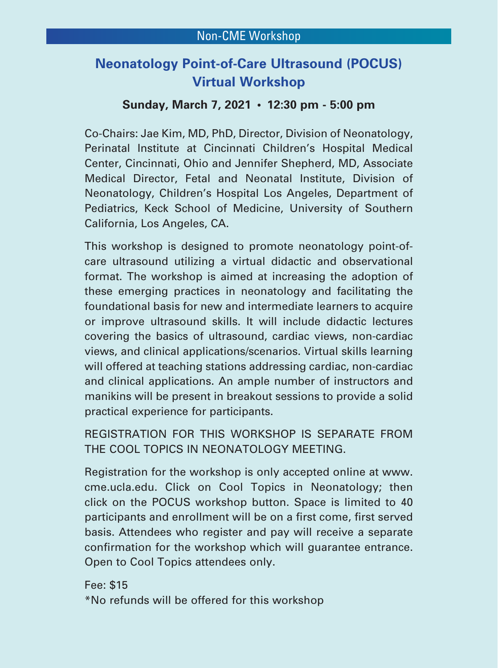# **Neonatology Point-of-Care Ultrasound (POCUS) Virtual Workshop**

# **Sunday, March 7, 2021 • 12:30 pm - 5:00 pm**

Co-Chairs: Jae Kim, MD, PhD, Director, Division of Neonatology, Perinatal Institute at Cincinnati Children's Hospital Medical Center, Cincinnati, Ohio and Jennifer Shepherd, MD, Associate Medical Director, Fetal and Neonatal Institute, Division of Neonatology, Children's Hospital Los Angeles, Department of Pediatrics, Keck School of Medicine, University of Southern California, Los Angeles, CA.

This workshop is designed to promote neonatology point-ofcare ultrasound utilizing a virtual didactic and observational format. The workshop is aimed at increasing the adoption of these emerging practices in neonatology and facilitating the foundational basis for new and intermediate learners to acquire or improve ultrasound skills. It will include didactic lectures covering the basics of ultrasound, cardiac views, non-cardiac views, and clinical applications/scenarios. Virtual skills learning will offered at teaching stations addressing cardiac, non-cardiac and clinical applications. An ample number of instructors and manikins will be present in breakout sessions to provide a solid practical experience for participants.

REGISTRATION FOR THIS WORKSHOP IS SEPARATE FROM THE COOL TOPICS IN NEONATOLOGY MEETING.

Registration for the workshop is only accepted online at www. cme.ucla.edu. Click on Cool Topics in Neonatology; then click on the POCUS workshop button. Space is limited to 40 participants and enrollment will be on a first come, first served basis. Attendees who register and pay will receive a separate confirmation for the workshop which will guarantee entrance. Open to Cool Topics attendees only.

Fee: \$15 \*No refunds will be offered for this workshop